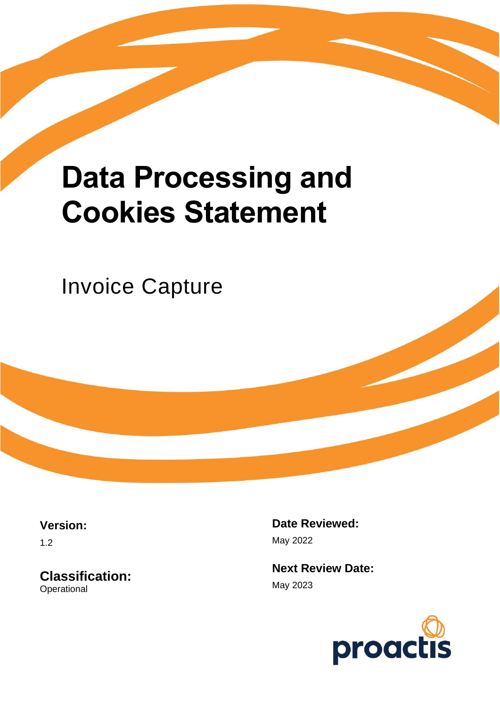# **Data Processing and Cookies Statement**

Invoice Capture

**Version:**

1.2

**Classification: Operational** 

**Date Reviewed:** May 2022

**Next Review Date:** May 2023

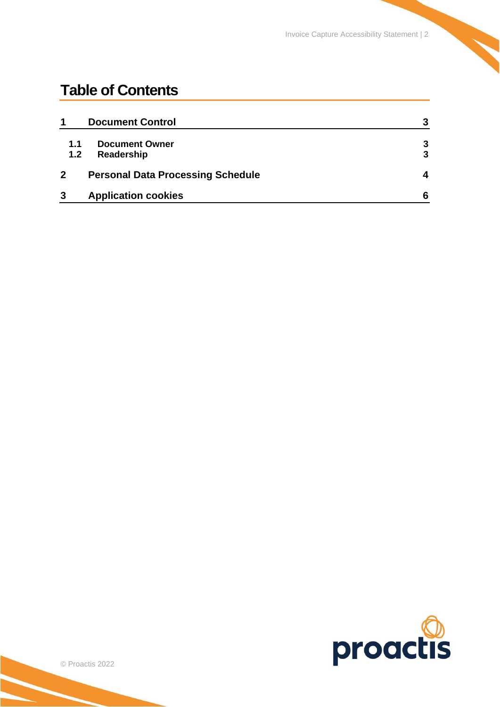## **Table of Contents**

| 1                | <b>Document Control</b>                  | 3 |
|------------------|------------------------------------------|---|
| 1.1              | <b>Document Owner</b>                    | 3 |
| 1.2 <sub>2</sub> | Readership                               | 3 |
|                  | <b>Personal Data Processing Schedule</b> | Δ |
| 3                | <b>Application cookies</b>               | 6 |

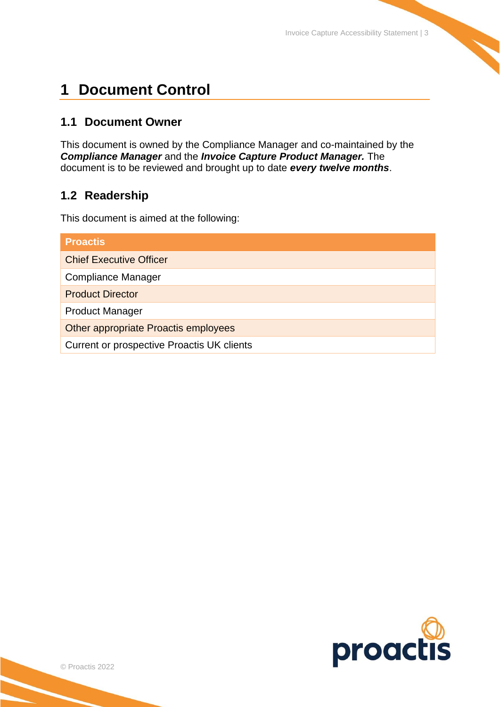## <span id="page-2-0"></span>**1 Document Control**

#### <span id="page-2-1"></span>**1.1 Document Owner**

This document is owned by the Compliance Manager and co-maintained by the *Compliance Manager* and the *Invoice Capture Product Manager.* The document is to be reviewed and brought up to date *every twelve months*.

#### <span id="page-2-2"></span>**1.2 Readership**

This document is aimed at the following:

| <b>Proactis</b>                            |  |  |  |  |
|--------------------------------------------|--|--|--|--|
| <b>Chief Executive Officer</b>             |  |  |  |  |
| <b>Compliance Manager</b>                  |  |  |  |  |
| <b>Product Director</b>                    |  |  |  |  |
| <b>Product Manager</b>                     |  |  |  |  |
| Other appropriate Proactis employees       |  |  |  |  |
| Current or prospective Proactis UK clients |  |  |  |  |

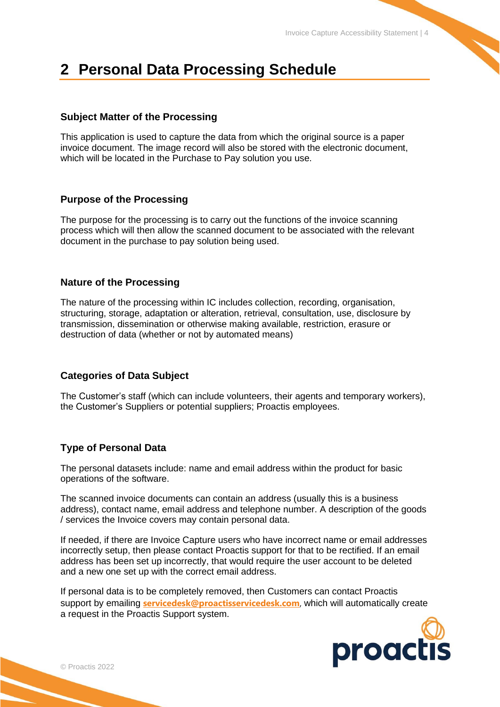## <span id="page-3-0"></span>**2 Personal Data Processing Schedule**

#### **Subject Matter of the Processing**

This application is used to capture the data from which the original source is a paper invoice document. The image record will also be stored with the electronic document, which will be located in the Purchase to Pay solution you use.

#### **Purpose of the Processing**

The purpose for the processing is to carry out the functions of the invoice scanning process which will then allow the scanned document to be associated with the relevant document in the purchase to pay solution being used.

#### **Nature of the Processing**

The nature of the processing within IC includes collection, recording, organisation, structuring, storage, adaptation or alteration, retrieval, consultation, use, disclosure by transmission, dissemination or otherwise making available, restriction, erasure or destruction of data (whether or not by automated means)

#### **Categories of Data Subject**

The Customer's staff (which can include volunteers, their agents and temporary workers), the Customer's Suppliers or potential suppliers; Proactis employees.

#### **Type of Personal Data**

The personal datasets include: name and email address within the product for basic operations of the software.

The scanned invoice documents can contain an address (usually this is a business address), contact name, email address and telephone number. A description of the goods / services the Invoice covers may contain personal data.

If needed, if there are Invoice Capture users who have incorrect name or email addresses incorrectly setup, then please contact Proactis support for that to be rectified. If an email address has been set up incorrectly, that would require the user account to be deleted and a new one set up with the correct email address.

If personal data is to be completely removed, then Customers can contact Proactis support by emailing **[servicedesk@proactisservicedesk.com](mailto:servicedesk@proactisservicedesk.com)**, which will automatically create a request in the Proactis Support system.

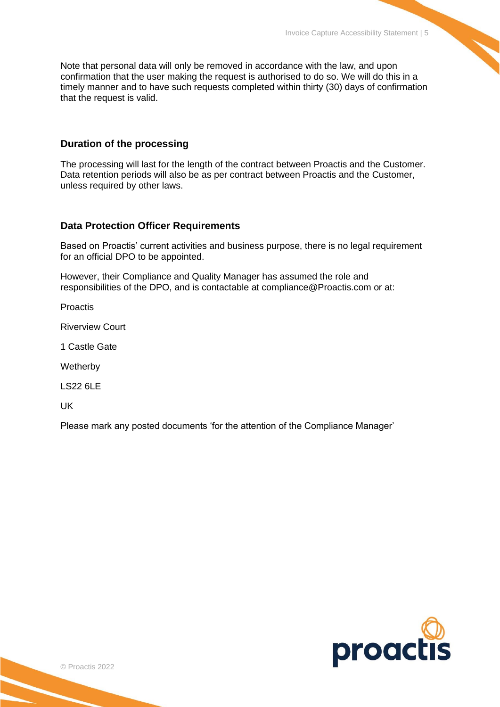Note that personal data will only be removed in accordance with the law, and upon confirmation that the user making the request is authorised to do so. We will do this in a timely manner and to have such requests completed within thirty (30) days of confirmation that the request is valid.

#### **Duration of the processing**

The processing will last for the length of the contract between Proactis and the Customer. Data retention periods will also be as per contract between Proactis and the Customer, unless required by other laws.

#### **Data Protection Officer Requirements**

Based on Proactis' current activities and business purpose, there is no legal requirement for an official DPO to be appointed.

However, their Compliance and Quality Manager has assumed the role and responsibilities of the DPO, and is contactable at compliance@Proactis.com or at:

**Proactis** 

Riverview Court

1 Castle Gate

**Wetherby** 

LS22 6LE

UK

Please mark any posted documents 'for the attention of the Compliance Manager'